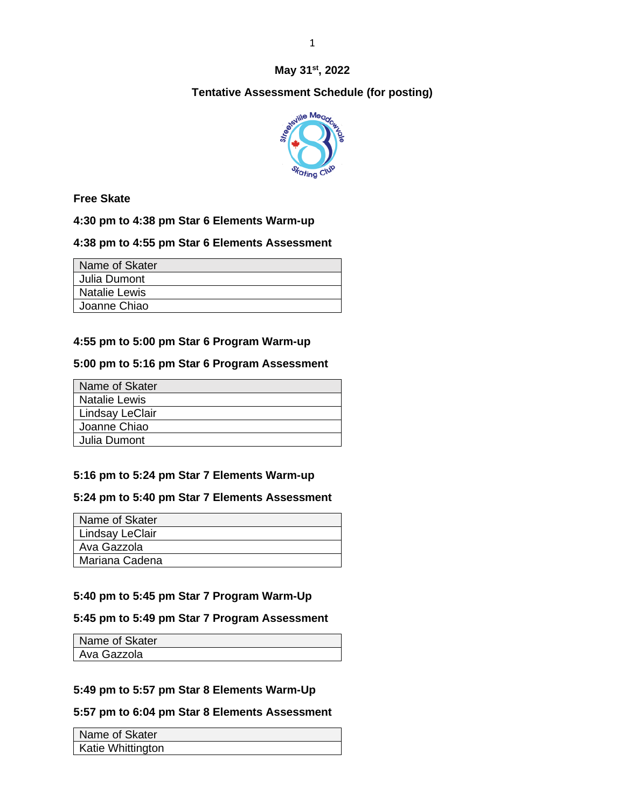## **May 31st, 2022**

# **Tentative Assessment Schedule (for posting)**



**Free Skate**

**4:30 pm to 4:38 pm Star 6 Elements Warm-up**

## **4:38 pm to 4:55 pm Star 6 Elements Assessment**

| Name of Skater |
|----------------|
| Julia Dumont   |
| Natalie Lewis  |
| Joanne Chiao   |

# **4:55 pm to 5:00 pm Star 6 Program Warm-up**

## **5:00 pm to 5:16 pm Star 6 Program Assessment**

| Name of Skater       |  |
|----------------------|--|
| <b>Natalie Lewis</b> |  |
| Lindsay LeClair      |  |
| Joanne Chiao         |  |
| Julia Dumont         |  |

## **5:16 pm to 5:24 pm Star 7 Elements Warm-up**

## **5:24 pm to 5:40 pm Star 7 Elements Assessment**

| Name of Skater   |
|------------------|
| Lindsay LeClair  |
| Ava Gazzola      |
| l Mariana Cadena |

## **5:40 pm to 5:45 pm Star 7 Program Warm-Up**

## **5:45 pm to 5:49 pm Star 7 Program Assessment**

| Name of Skater |  |
|----------------|--|
| Ava Gazzola    |  |

## **5:49 pm to 5:57 pm Star 8 Elements Warm-Up**

## **5:57 pm to 6:04 pm Star 8 Elements Assessment**

| Name of Skater    |  |
|-------------------|--|
| Katie Whittington |  |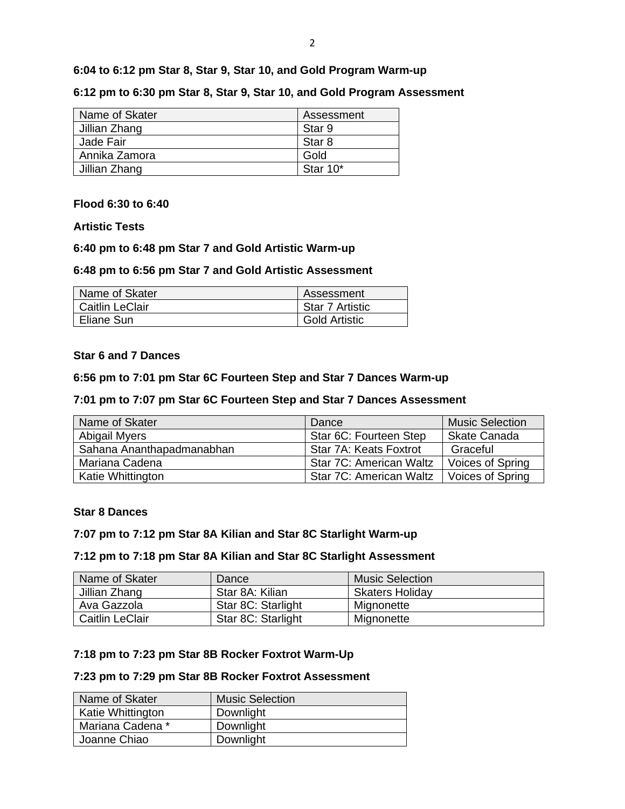**6:04 to 6:12 pm Star 8, Star 9, Star 10, and Gold Program Warm-up**

**6:12 pm to 6:30 pm Star 8, Star 9, Star 10, and Gold Program Assessment**

| Name of Skater | Assessment |
|----------------|------------|
| Jillian Zhang  | Star 9     |
| Jade Fair      | Star 8     |
| Annika Zamora  | Gold       |
| Jillian Zhang  | Star 10*   |

### **Flood 6:30 to 6:40**

### **Artistic Tests**

### **6:40 pm to 6:48 pm Star 7 and Gold Artistic Warm-up**

### **6:48 pm to 6:56 pm Star 7 and Gold Artistic Assessment**

| Name of Skater         | Assessment           |
|------------------------|----------------------|
| <b>Caitlin LeClair</b> | Star 7 Artistic      |
| Eliane Sun             | <b>Gold Artistic</b> |

### **Star 6 and 7 Dances**

### **6:56 pm to 7:01 pm Star 6C Fourteen Step and Star 7 Dances Warm-up**

### **7:01 pm to 7:07 pm Star 6C Fourteen Step and Star 7 Dances Assessment**

| Name of Skater            | Dance                   | <b>Music Selection</b>  |
|---------------------------|-------------------------|-------------------------|
| Abigail Myers             | Star 6C: Fourteen Step  | <b>Skate Canada</b>     |
| Sahana Ananthapadmanabhan | Star 7A: Keats Foxtrot  | Graceful                |
| Mariana Cadena            | Star 7C: American Waltz | Voices of Spring        |
| Katie Whittington         | Star 7C: American Waltz | <b>Voices of Spring</b> |

### **Star 8 Dances**

### **7:07 pm to 7:12 pm Star 8A Kilian and Star 8C Starlight Warm-up**

### **7:12 pm to 7:18 pm Star 8A Kilian and Star 8C Starlight Assessment**

| Name of Skater         | Dance              | <b>Music Selection</b> |
|------------------------|--------------------|------------------------|
| Jillian Zhang          | Star 8A: Kilian    | <b>Skaters Holiday</b> |
| Ava Gazzola            | Star 8C: Starlight | Mignonette             |
| <b>Caitlin LeClair</b> | Star 8C: Starlight | Mignonette             |

### **7:18 pm to 7:23 pm Star 8B Rocker Foxtrot Warm-Up**

## **7:23 pm to 7:29 pm Star 8B Rocker Foxtrot Assessment**

| Name of Skater           | <b>Music Selection</b> |
|--------------------------|------------------------|
| <b>Katie Whittington</b> | Downlight              |
| Mariana Cadena *         | Downlight              |
| Joanne Chiao             | Downlight              |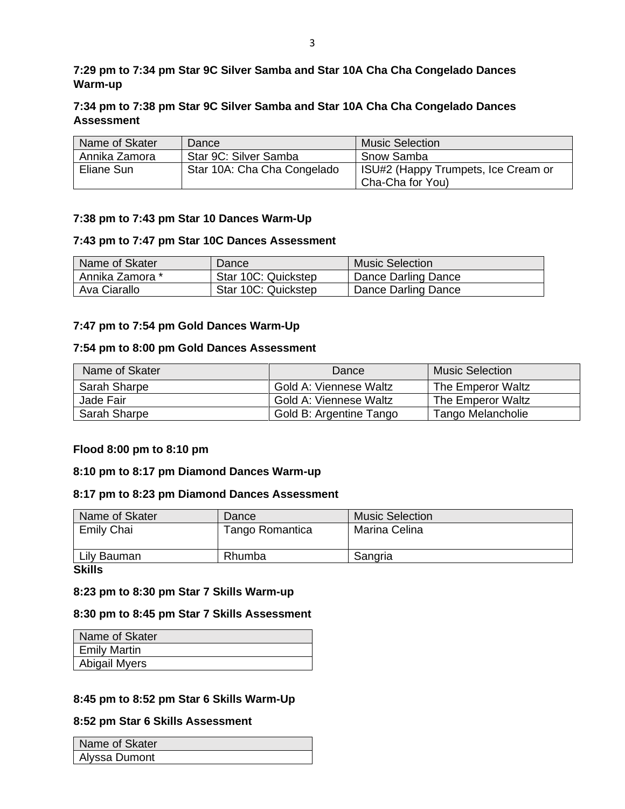## **7:29 pm to 7:34 pm Star 9C Silver Samba and Star 10A Cha Cha Congelado Dances Warm-up**

## **7:34 pm to 7:38 pm Star 9C Silver Samba and Star 10A Cha Cha Congelado Dances Assessment**

| Name of Skater | Dance                       | <b>Music Selection</b>                                  |
|----------------|-----------------------------|---------------------------------------------------------|
| Annika Zamora  | Star 9C: Silver Samba       | Snow Samba                                              |
| Eliane Sun     | Star 10A: Cha Cha Congelado | ISU#2 (Happy Trumpets, Ice Cream or<br>Cha-Cha for You) |

## **7:38 pm to 7:43 pm Star 10 Dances Warm-Up**

### **7:43 pm to 7:47 pm Star 10C Dances Assessment**

| Name of Skater  | Dance               | <b>Music Selection</b> |
|-----------------|---------------------|------------------------|
| Annika Zamora * | Star 10C: Quickstep | Dance Darling Dance    |
| Ava Ciarallo    | Star 10C: Quickstep | Dance Darling Dance    |

### **7:47 pm to 7:54 pm Gold Dances Warm-Up**

### **7:54 pm to 8:00 pm Gold Dances Assessment**

| Name of Skater | Dance                   | Music Selection   |
|----------------|-------------------------|-------------------|
| Sarah Sharpe   | Gold A: Viennese Waltz  | The Emperor Waltz |
| Jade Fair      | Gold A: Viennese Waltz  | The Emperor Waltz |
| Sarah Sharpe   | Gold B: Argentine Tango | Tango Melancholie |

## **Flood 8:00 pm to 8:10 pm**

### **8:10 pm to 8:17 pm Diamond Dances Warm-up**

### **8:17 pm to 8:23 pm Diamond Dances Assessment**

| Dance           | <b>Music Selection</b> |
|-----------------|------------------------|
| Tango Romantica | Marina Celina          |
|                 |                        |
| Rhumba          | Sangria                |
|                 |                        |

**Skills**

### **8:23 pm to 8:30 pm Star 7 Skills Warm-up**

### **8:30 pm to 8:45 pm Star 7 Skills Assessment**

| Name of Skater      |
|---------------------|
| <b>Emily Martin</b> |
| Abigail Myers       |

## **8:45 pm to 8:52 pm Star 6 Skills Warm-Up**

### **8:52 pm Star 6 Skills Assessment**

| Name of Skater |  |
|----------------|--|
| Alyssa Dumont  |  |